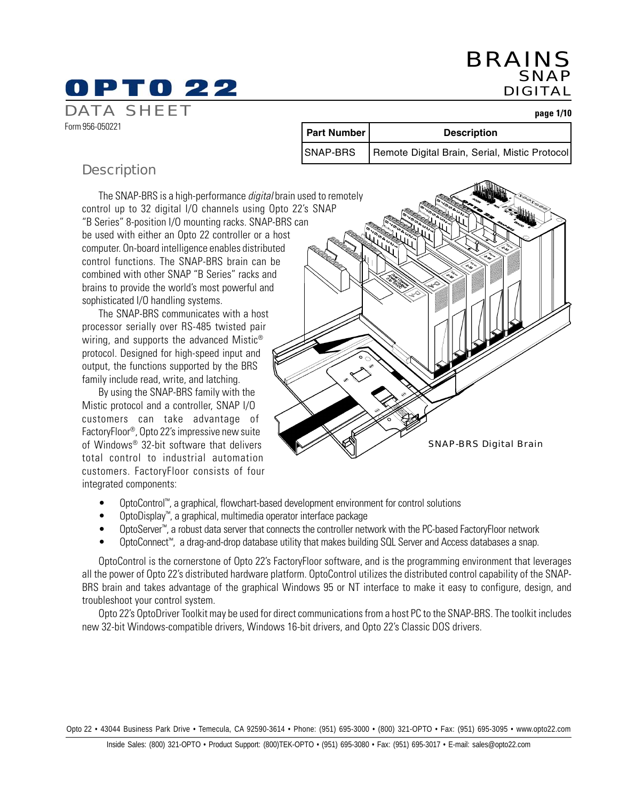**page 1/10**

| <b>Description</b> |  |
|--------------------|--|

Form 956-050221

DATA SHEET

The SNAP-BRS is a high-performance *digital* brain used to remotely control up to 32 digital I/O channels using Opto 22's SNAP "B Series" 8-position I/O mounting racks. SNAP-BRS can be used with either an Opto 22 controller or a host computer. On-board intelligence enables distributed control functions. The SNAP-BRS brain can be combined with other SNAP "B Series" racks and brains to provide the world's most powerful and sophisticated I/O handling systems.

The SNAP-BRS communicates with a host processor serially over RS-485 twisted pair wiring, and supports the advanced Mistic<sup>®</sup> protocol. Designed for high-speed input and output, the functions supported by the BRS family include read, write, and latching.

By using the SNAP-BRS family with the Mistic protocol and a controller, SNAP I/O customers can take advantage of FactoryFloor®, Opto 22's impressive new suite of Windows® 32-bit software that delivers total control to industrial automation customers. FactoryFloor consists of four integrated components:

SNAP-BRS Digital Brain

**Part Number | Conservery Description** 

SNAP-BRS | Remote Digital Brain, Serial, Mistic Protocol

- OptoControl™, a graphical, flowchart-based development environment for control solutions
- OptoDisplay™, a graphical, multimedia operator interface package
- OptoServer™, a robust data server that connects the controller network with the PC-based FactoryFloor network
- OptoConnect™, a drag-and-drop database utility that makes building SQL Server and Access databases a snap.

OptoControl is the cornerstone of Opto 22's FactoryFloor software, and is the programming environment that leverages all the power of Opto 22's distributed hardware platform. OptoControl utilizes the distributed control capability of the SNAP-BRS brain and takes advantage of the graphical Windows 95 or NT interface to make it easy to configure, design, and troubleshoot your control system.

Opto 22's OptoDriver Toolkit may be used for direct communications from a host PC to the SNAP-BRS. The toolkit includes new 32-bit Windows-compatible drivers, Windows 16-bit drivers, and Opto 22's Classic DOS drivers.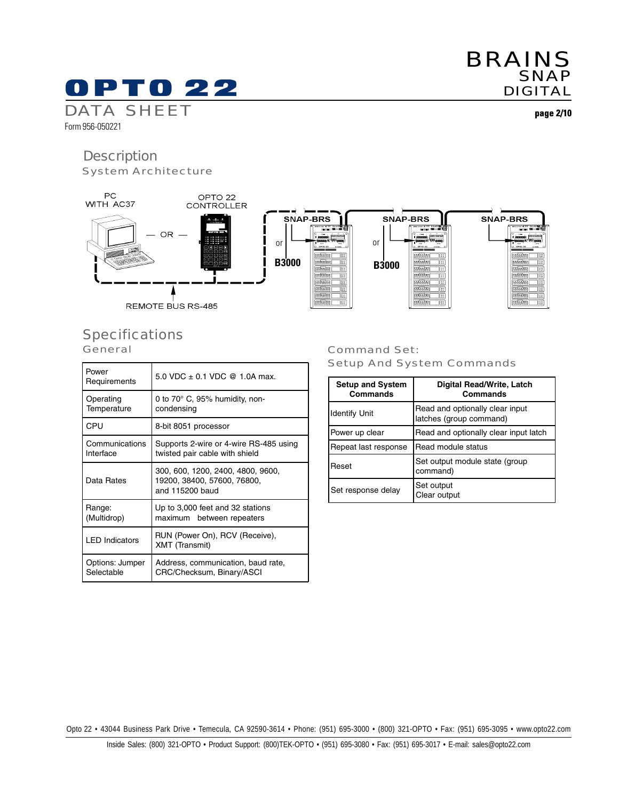SNAP-BRS

essa ee oo.<br>Siistaat

 $\begin{array}{c}\n\overline{\phantom{1}}\\ \underline{\phantom{1}}\\ \underline{\phantom{1}}\\ \underline{\phantom{1}}\\ \underline{\phantom{1}}\\ \underline{\phantom{1}}\\ \underline{\phantom{1}}\\ \underline{\phantom{1}}\\ \underline{\phantom{1}}\\ \underline{\phantom{1}}\\ \underline{\phantom{1}}\\ \underline{\phantom{1}}\\ \underline{\phantom{1}}\\ \underline{\phantom{1}}\\ \underline{\phantom{1}}\\ \underline{\phantom{1}}\\ \underline{\phantom{1}}\\ \underline{\phantom{1}}\\ \underline{\phantom{1}}\\ \underline{\phantom{1}}\\ \underline{\phantom{1}}\\ \underline{\phantom{1}}\\ \underline{\phantom{1}}\\ \underline{\phant$ 

|<br>|प्रसंस्केस|<br>|प्रसंस्केस|

OPTO<sub>22</sub> **CONTROLLER** 

REMOTE BUS RS-485

OR -

# **Specifications**

**General** 

| Power<br>Requirements         | 5.0 VDC $\pm$ 0.1 VDC @ 1.0A max.                                                   |
|-------------------------------|-------------------------------------------------------------------------------------|
| Operating<br>Temperature      | 0 to $70^\circ$ C, 95% humidity, non-<br>condensing                                 |
| CPU                           | 8-bit 8051 processor                                                                |
| Communications<br>Interface   | Supports 2-wire or 4-wire RS-485 using<br>twisted pair cable with shield            |
| Data Rates                    | 300, 600, 1200, 2400, 4800, 9600,<br>19200, 38400, 57600, 76800,<br>and 115200 baud |
| Range:<br>(Multidrop)         | Up to 3,000 feet and 32 stations<br>maximum between repeaters                       |
| <b>LED Indicators</b>         | RUN (Power On), RCV (Receive),<br><b>XMT</b> (Transmit)                             |
| Options: Jumper<br>Selectable | Address, communication, baud rate,<br>CRC/Checksum, Binary/ASCI                     |

#### Command Set: Setup And System Commands

**B3000**

SNAP-BRS

viir ee o.<br>Taagaan C

|प्रसंख्ये

**Standar**<br>Standar

or

**B3000**

**SNAP-BRS** 

**REGIST** 

or

| <b>Setup and System</b><br>Commands | <b>Digital Read/Write, Latch</b><br>Commands               |
|-------------------------------------|------------------------------------------------------------|
| <b>Identify Unit</b>                | Read and optionally clear input<br>latches (group command) |
| Power up clear                      | Read and optionally clear input latch                      |
| Repeat last response                | Read module status                                         |
| Reset                               | Set output module state (group<br>command)                 |
| Set response delay                  | Set output<br>Clear output                                 |

Opto 22 • 43044 Business Park Drive • Temecula, CA 92590-3614 • Phone: (951) 695-3000 • (800) 321-OPTO • Fax: (951) 695-3095 • www.opto22.com

**page 2/10**

# 0 P T 0 2 2

System Architecture

DATA SHEET Form 956-050221

**Description** 

en 1

PC<br>WITH AC37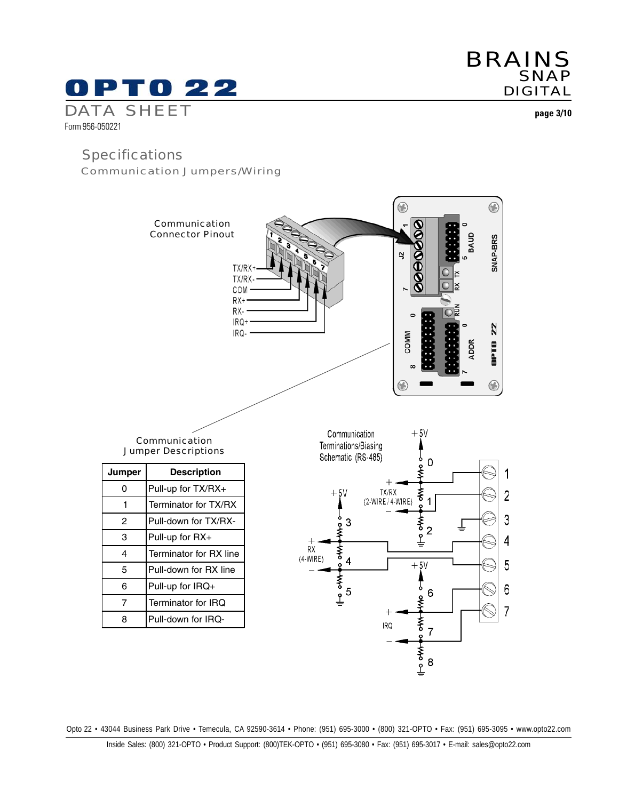# PT0 22

# DATA SHEET

Form 956-050221

## **Specifications**

Communication Jumpers/Wiring



Opto 22 • 43044 Business Park Drive • Temecula, CA 92590-3614 • Phone: (951) 695-3000 • (800) 321-OPTO • Fax: (951) 695-3095 • www.opto22.com

**page 3/10**

**SNAP** DIGITAL

BRAINS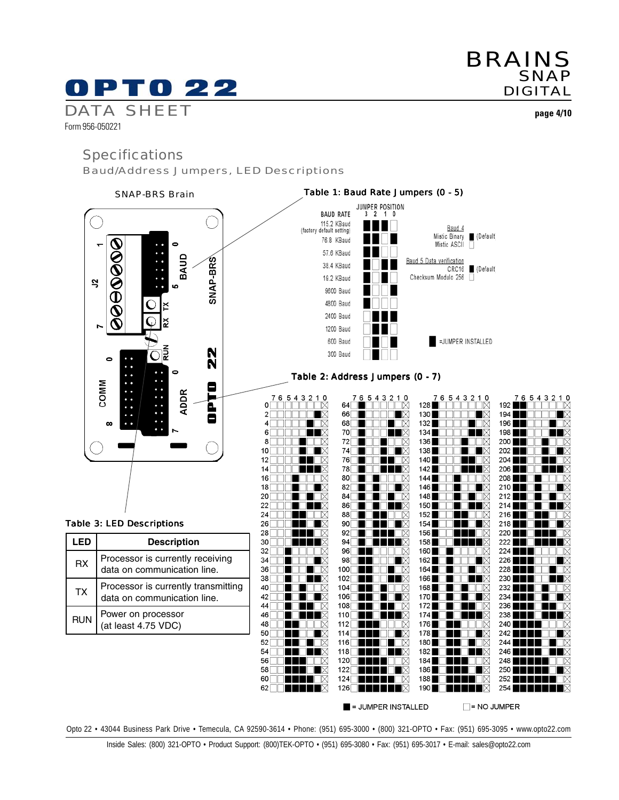# 0 P T 0 22

# BRAINS SNAP DIGITAL

**page 4/10**

#### Form 956-050221

### **Specifications**

DATA SHEET

Baud/Address Jumpers, LED Descriptions



 $\blacksquare$  = JUMPER INSTALLED  $\Box$  = NO JUMPER

Opto 22 • 43044 Business Park Drive • Temecula, CA 92590-3614 • Phone: (951) 695-3000 • (800) 321-OPTO • Fax: (951) 695-3095 • www.opto22.com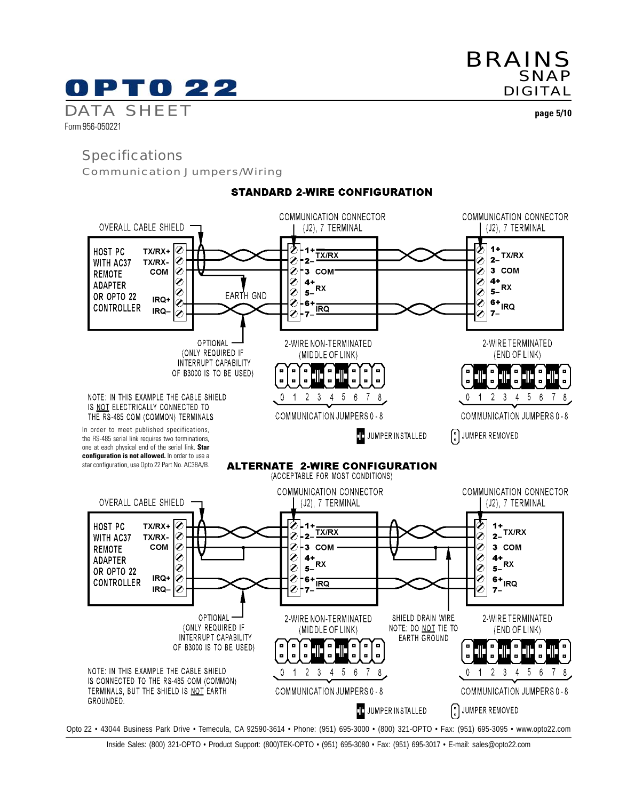# PTO 22

BRAINS SNAP DIGITAL

DATA SHEET Form 956-050221

**page 5/10**

# Specifications

Communication Jumpers/Wiring



**STANDARD 2-WIRE CONFIGURATION**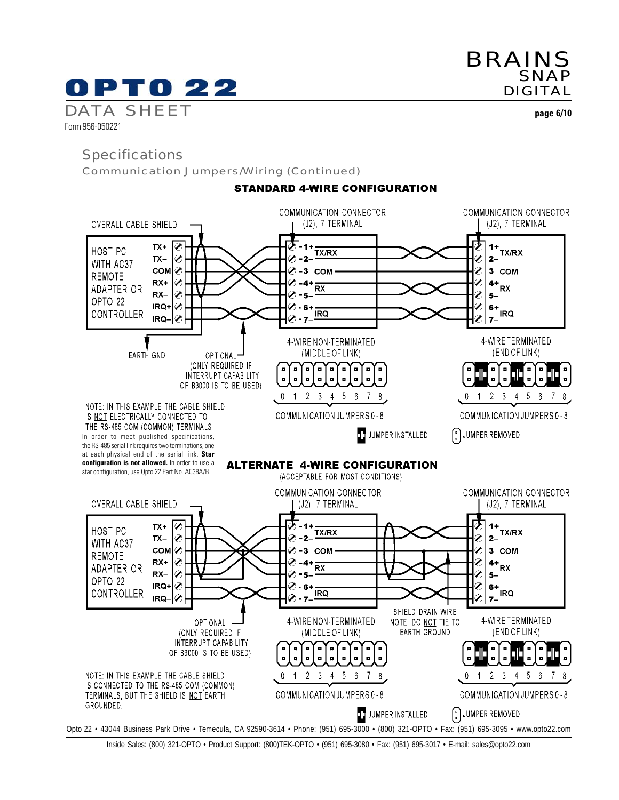# PTO 22

BRAINS SNAP DIGITAL

DATA SHEET Form 956-050221

**page 6/10**

# **Specifications**

Communication Jumpers/Wiring (Continued)



**STANDARD 4-WIRE CONFIGURATION** 

Inside Sales: (800) 321-OPTO • Product Support: (800)TEK-OPTO • (951) 695-3080 • Fax: (951) 695-3017 • E-mail: sales@opto22.com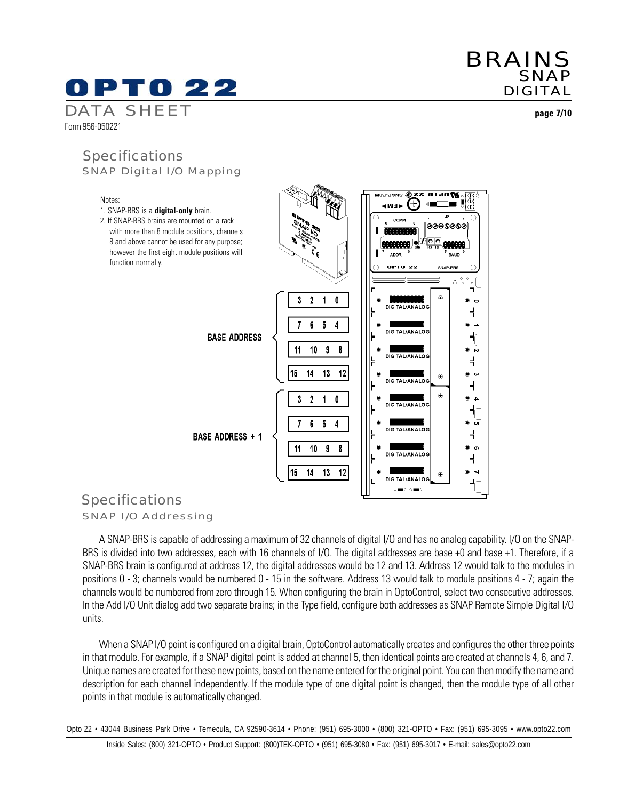Form 956-050221

Notes:

**page 7/10**

## SNAP Digital I/O Mapping **Specifications**



## SNAP I/O Addressing Specifications

A SNAP-BRS is capable of addressing a maximum of 32 channels of digital I/O and has no analog capability. I/O on the SNAP-BRS is divided into two addresses, each with 16 channels of I/O. The digital addresses are base +0 and base +1. Therefore, if a SNAP-BRS brain is configured at address 12, the digital addresses would be 12 and 13. Address 12 would talk to the modules in positions 0 - 3; channels would be numbered 0 - 15 in the software. Address 13 would talk to module positions 4 - 7; again the channels would be numbered from zero through 15. When configuring the brain in OptoControl, select two consecutive addresses. In the Add I/O Unit dialog add two separate brains; in the Type field, configure both addresses as SNAP Remote Simple Digital I/O units.

When a SNAP I/O point is configured on a digital brain, OptoControl automatically creates and configures the other three points in that module. For example, if a SNAP digital point is added at channel 5, then identical points are created at channels 4, 6, and 7. Unique names are created for these new points, based on the name entered for the original point. You can then modify the name and description for each channel independently. If the module type of one digital point is changed, then the module type of all other points in that module is automatically changed.

Opto 22 • 43044 Business Park Drive • Temecula, CA 92590-3614 • Phone: (951) 695-3000 • (800) 321-OPTO • Fax: (951) 695-3095 • www.opto22.com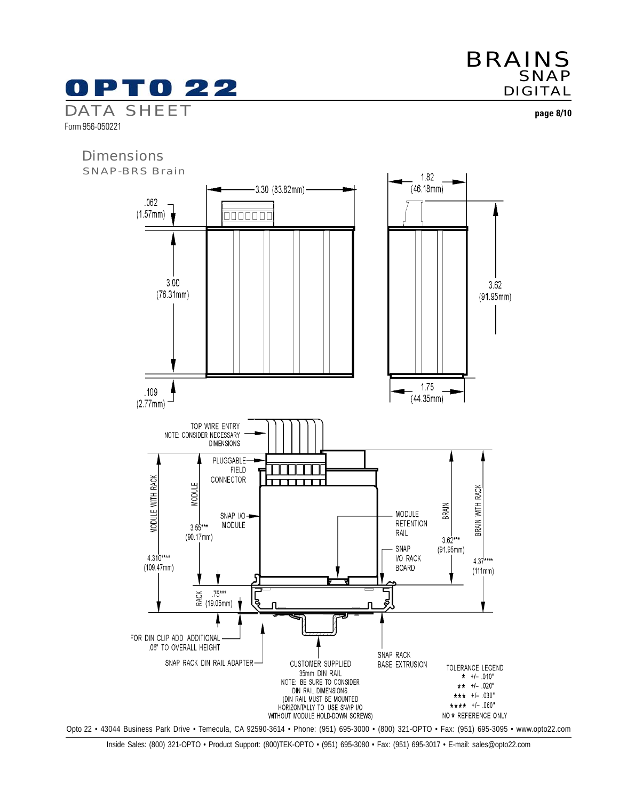

Form 956-050221



**page 8/10**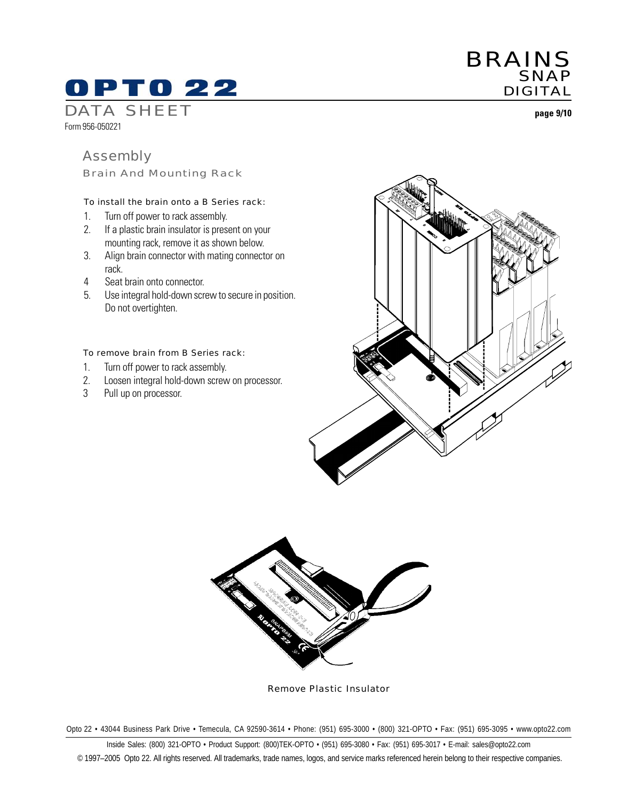# OPTO 22

DATA SHEET

Form 956-050221

# Assembly

Brain And Mounting Rack

#### To install the brain onto a B Series rack:

- 1. Turn off power to rack assembly.
- 2. If a plastic brain insulator is present on your mounting rack, remove it as shown below.
- 3. Align brain connector with mating connector on rack.
- 4 Seat brain onto connector.
- 5. Use integral hold-down screw to secure in position. Do not overtighten.

#### To remove brain from B Series rack:

- 1. Turn off power to rack assembly.
- 2. Loosen integral hold-down screw on processor.
- 3 Pull up on processor.





Remove Plastic Insulator

Opto 22 • 43044 Business Park Drive • Temecula, CA 92590-3614 • Phone: (951) 695-3000 • (800) 321-OPTO • Fax: (951) 695-3095 • www.opto22.com

Inside Sales: (800) 321-OPTO • Product Support: (800)TEK-OPTO • (951) 695-3080 • Fax: (951) 695-3017 • E-mail: sales@opto22.com © 1997–2005 Opto 22. All rights reserved. All trademarks, trade names, logos, and service marks referenced herein belong to their respective companies.

**page 9/10**



BRAINS